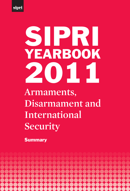

# **Armaments, Disarmament and International**  SIPRI YEARBOOK 2011

**Security**

**Summary** 

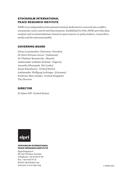#### STOCKHOLM INTERNATIONAL **PEACE RESEARCH INSTITUTE**

SIPRI is an independent international institute dedicated to research into conflict, armaments, arms control and disarmament. Established in 1966, SIPRI provides data, analysis and recommendations, based on open sources, to policymakers, researchers, media and the interested public.

#### GOVERNING BOARD

Göran Lennmarker, Chairman (Sweden) Dr Dewi Fortuna Anwar (Indonesia) Dr Vladimir Baranovsky (Russia) Ambassador Lakhdar Brahimi (Algeria) Jayantha Dhanapala (Sri Lanka) Susan Eisenhower (United States) Ambassador Wolfgang Ischinger (Germany) Professor Mary Kaldor (United Kingdom) The Director

#### **DIRECTOR**

Dr Bates Gill (United States)



#### **STOCKHOLM INTERNATIONAL PEACE RESEARCH INSTITUTE**

Signalistgatan 9 SE-169 70 Solna, Sweden Telephone: +46 8 655 97 00 Fax: +46 8 655 97 33 Email: sipri@sipri.org Internet: www.sipri.org © SIPRI 2011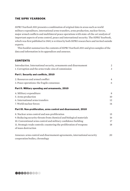#### The SIPRI Yearbook

*SIPRI Yearbook 2011* presents a combination of original data in areas such as world military expenditure, international arms transfers, arms production, nuclear forces, major armed conflicts and multilateral peace operations with state-of-the-art analysis of important aspects of arms control, peace and international security. The SIPRI Yearbook, which was first published in 1969, is written by both SIPRI researchers and invited outside experts.

This booklet summarizes the contents of *SIPRI Yearbook 2011* and gives samples of the data and information in its appendices and annexes.

#### **CONTENTS**

| Introduction. International security, armaments and disarmament          | 2              |
|--------------------------------------------------------------------------|----------------|
| 1. Corruption and the arms trade: sins of commission                     | 3              |
| Part I. Security and conflicts, 2010                                     |                |
| 2. Resources and armed conflict                                          | $\overline{4}$ |
| 3. Peace operations: the fragile consensus                               | 6              |
| Part II. Military spending and armaments, 2010                           |                |
| 4. Military expenditure                                                  | 8              |
| 5. Arms production                                                       | 10             |
| 6. International arms transfers                                          | 12             |
| 7. World nuclear forces                                                  | 14             |
| Part III. Non-proliferation, arms control and disarmament, 2010          |                |
| 8. Nuclear arms control and non-proliferation                            | 15             |
| 9. Reducing security threats from chemical and biological materials      | 16             |
| 10. Conventional arms control and military confidence building           | 17             |
| 11. Strategic trade controls: countering the proliferation of weapons    | 18             |
| of mass destruction                                                      |                |
| Annexes: arms control and disarmament agreements, international security | 20             |
| cooperation bodies, chronology                                           |                |

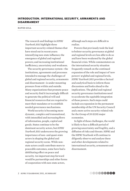#### <span id="page-3-0"></span>INTRODUCTION. INTERNATIONAL SECURITY, ARMAMENTS AND **DISARMAMENT**

## **bates gill bates**  $\mathbf{g}$

The research and findings in *SIPRI Yearbook 2011* highlight three important security-related themes that have stood out in recent years: intensifying non-state influence; the emergence of global and regional powers; and increasing institutional inefficiency, uncertainty and weakness.

The security governance system—the institutions, agreements and processes intended to manage the challenges of global and regional security, armaments and disarmament—is under mounting pressure from within and outside. Many organizations that promote peace and security find it increasingly difficult to generate the political will and financial resources that are required to meet their mandates or to establish needed governance mechanisms.

World security is becoming more dynamic, complex and transnational, with intensified and increasing flows of information, people, capital and goods. States continue to be the dominant security actors, but *SIPRI Yearbook 2011* underscores the growing importance of non- and quasi-state actors in shaping the global and regional security scene. While nonstate actors could contribute more to peaceable outcomes, some have had a debilitating effect on peace and security. An important step forward would be partnerships and other forms of cooperation with non-state actors,

although such steps are difficult to realize.

Powers that previously took the lead to bolster security governance at global and regional levels are less able to do so and have been weakened by the global financial crisis. While commentators on the international security situation frequently remark on the continued expansion of the role and impact of 'new powers' at global and regional levels, *SIPRI Yearbook 2011* provides a factual and analytical basis to inform those discussions and looks ahead to the implications. The global and regional security governance institutions need to accelerate the equitable integration of these powers. Such steps could include an expansion in the permanent membership of the UN Security Council and a more active security-related role for the Group of 20 (G20) major economies.

In light of these challenges, the world is likely to face a difficult period of growing uncertainty and fragility, and a diffusion of risks and threats. SIPRI and the SIPRI Yearbook will continue to diligently observe and analyse these and other developments related to international security, armaments and disarmament.

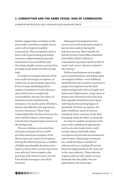#### <span id="page-4-0"></span>1. CORRUPTION AND THE ARMS TRADE: SINS OF COMMISSION

andrew feinstein, paul holden and barnaby pace

Studies suggest that corruption in the arms trade contributes roughly 40 per cent to all corruption in global transactions. This corruption exacts a heavy toll on purchasing and selling countries, undermining democratic institutions of accountability and diverting valuable resources away from pressing social needs towards corrupt ends.

A number of systemic features of the arms trade encourage corruption, of which two are particularly important. First, its deep and abiding link to matters of national security obscures many deals from oversight and accountability. Second, the rubric of national security facilitates the emergence of a small coterie of brokers, dealers and officials with appropriate security clearances. These close relationships blur the lines between the state and the industry, fostering an attitude that relegates legal concerns to the background.

The now infamous arms deal that took place in South Africa in 1999 provides numerous examples of the above types and causes of corruption. During the selection process, a number of highly questionable decisions were taken to ensure that certain contractors were selected. One example is the purchase of the Hawk trainer aircraft from British Aerospace (now BAE Systems).

Subsequent investigations have uncovered a trail of payments made to key decision makers during the selection process. Most notably, the British Serious Fraud Office identified £115 million (\$207 million) in 'commission' payments made by BAE to 'overt' and 'covert' advisors related to the contract.

Political mechanisms of oversight such as parliamentary and independent investigative bodies—were sidelined and bullied by the executive to prevent a proper investigation into the deal, undercutting South Africa's fragile new democratic dispensation. Large sums of money were diverted to the arms deal that arguably should have been spent relieving the devastating legacy of apartheid. Without corruption, the state would have spent at least an estimated 30 per cent less on the deal, freeing up funds for other social goods.

In order to combat corruption in the arms trade, multilateral agreements, such as an arms trade treaty, could include clauses that both outlaw corruption and provide mechanisms for enforcement. National governments, too, could introduce a number of reforms such as a 'cooling off' period between employments in the state and in the arms industry. These reforms require political will, which, in turn, demands that the public voice its opposition to the status quo.



introduction 3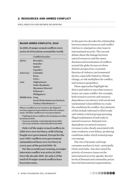#### <span id="page-5-0"></span>**2. RESOURCES AND ARMED CONFLICT**

neil melvin and ruben de koning

#### **MAJOR ARMED CONFLICTS, 2010**

**In 2010, 15 major armed conflicts were active in 15 locations around the world.**

|                  | <b>Conflict location</b>           |
|------------------|------------------------------------|
| Africa           | $Rwanda*1$                         |
|                  | <b>Somalia</b>                     |
|                  | <b>Sudan</b> <sup>1</sup>          |
|                  | Uganda* $\downarrow$               |
| Americas         | Colombia                           |
|                  | <b>Peru</b> .                      |
|                  | $USA*$                             |
| Asia             | <b>Afghanistan</b>                 |
|                  | India (Kashmir)                    |
|                  | Myanmar (Karen) $\uparrow$         |
|                  | Pakistan*1                         |
|                  | <b>Philippines</b>                 |
| Middle East Iraq |                                    |
|                  | Israel (Palestinian territories) ! |
|                  | Turkey ('Kurdistan')* ↑            |

**Where a conflict is over territory, the disputed territory appears in parentheses after the country name. All other conflicts are over government.**

**\* Fighting in these conflicts also took place in other locations in 2010.** 

↑ **Increase in battle-related deaths from 2009.** ↓ **Decrease in battle-related deaths from 2009.**

**Only 4 of the major armed conflicts in 2010 were over territory, with 11 being fought over government. Except for the year 2007, conflicts over government outnumbered those over territory in every year of the period 2001–10.**

**For the seventh year running, no major interstate conflict was active in 2010. Over the decade 2001–10, only 2 of the total of 29 major armed conflicts have been interstate.** 

In the past two decades the relationship between natural resources and conflict risk has re-emerged as a key issue in international security. The current debate about the linkage between natural resources and the onset, duration and termination of conflicts around the globe focuses on three distinct perspectives: economic theories of violence; environmental factors, especially linked to climate change, as risk multipliers for conflict; and resource geopolitics.

These approaches highlight the direct and indirect ways that resource issues can cause conflict. For example, both resource scarcity and resource dependence can interact with social and institutional vulnerabilities to create the conditions for conflict. Key elements of this include informal or illicit trade and violent criminal groups pursuing illegal exploitation of and trade in natural resources. National overdependence on natural resource revenues is also closely associated with state weakness, even failure, producing conditions under which armed groups can emerge.

The rise of dynamic and large consumer markets in Asia—principally China and India—has also raised the priority of resource issues on the international security agenda. Record levels of demand and commodity prices have led international organizations,

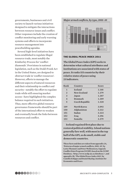governments, businesses and civil society to launch various initiatives designed to mitigate the interactions between resource issues and conflict. Other responses include the creation of conflict monitoring and early warning systems and efforts to incorporate resource management into peacebuilding agendas.

Several high-level initiatives have been established to regulate illegal resource trade, most notably the Kimberley Process for 'conflict diamonds'. Provisions in national legislation, such as the Dodd-Frank Act in the United States, are designed to obstruct trade in 'conflict resources'. However, efforts to manage the different aspects of natural resources and their relationship to conflict and security—notably the effort to regulate trade while still ensuring market access—have highlighted the complex balance required in such initiatives. Thus, more effective global resource governance frameworks should be part of the international effort to weaken and eventually break the links between resources and conflict.



#### THE GLOBAL PEACE INDEX 2011

**The Global Peace Index (GPI) seeks to determine what cultural attributes and institutions are associated with states of peace. It ranks 153 countries by their relative states of peace using 23 indicators.**

| Rank           | Country               | <b>Score</b> |
|----------------|-----------------------|--------------|
| $\mathbf{1}$   | <b>Iceland</b>        | 1.148        |
| $\overline{2}$ | New Zealand           | 1.279        |
| $\mathbf{3}$   | Japan                 | 1.287        |
| $\overline{4}$ | Denmark               | 1.289        |
| 5              | <b>Czech Republic</b> | 1.320        |
| 149            | North Korea           | 3.092        |
| 150            | Afghanistan           | 3.212        |
| 151            | Sudan                 | 3.223        |
| 152            | Iraq                  | 3.296        |
| 153            | Somalia               | 3.379        |
|                |                       |              |

**Iceland regained first place due to restored political stability. Island nations generally fare well, with most in the top half of the GPI, as do small, stable and democratic countries.**

**These facts and data are taken from appendix 2A, 'Patterns of major armed conflicts, 2001–10', by Lotta Themnér and Peter Wallensteen, Uppsala Conflict Data Program (UCDP), based on the UCDP Database, <http://www.ucdp.uu.se/database/>, and appendix 2B, 'The Global Peace Index 2011', by Camilla Schippa and Daniel Hyslop, Institute for Economics and Peace.**

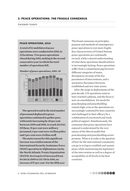#### <span id="page-7-0"></span>3. PEACE OPERATIONS: THE FRAGILE CONSENSUS

| THIERRY TARDY |  |  |
|---------------|--|--|
|               |  |  |

#### **PEACE OPERATIONS, 2010**

**A total of 52 multilateral peace operations were conducted in 2010, in 33 locations. Two peace operations closed during 2010, making it the second consecutive year in which the total number of operations fell.** 



**The upward trend in the total number of personnel deployed to peace operations continued to gather pace, with totals increasing by 20 per cent between 2009 and 2010, to reach 262 842. Of these, 91 per cent were military personnel, 6 per cent were civilian police and 3 per cent were civilian staff.** 

**The main reason for this significant increase was reinforcement of the International Security Assistance Force (ISAF) operation in Afghanistan run by the North Atlantic Treaty Organization (NATO). Its troop level increased from 84 146 in 2009 to 131 730 in 2010, an increase of 57 per cent. For the fifth year** 

The broad consensus on principles, purpose and methods of contemporary peace operations is ever more fragile. Key characteristics of United Nations peace operations are continually revised, while a shared understanding of what these operations should achieve is increasingly lacking. Peace operations suffer from a commitment gap between different categories of states, divergences on some of the key parameters of interventions, and a normative disconnect between established and new state actors.

After the surge in deployments of the past decade, UN operations seem to have reached a plateau, and the focus is now on consolidation. Yet needs for peacekeeping and peacebuilding remain high, even as the operations are increasingly contested by host countries and challenged in their efficacy by a combination of overstretch and weak political support. Simultaneously, the consensus that peace operations have enjoyed is undermined by the very nature of the liberal model that peacekeeping and peacebuilding actors promote. What is at stake is the question of how far the international community can go in trying to establish and sustain peace while maintaining the legitimacy of the intervention as well as a degree of acceptability at all levels in the host countries.

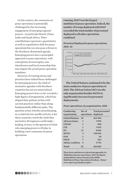In this context, the consensus on peace operations is potentially challenged by the increasing engagement of emerging regional powers—in particular Brazil, China, India and South Africa. Their contributions represent a quantitative as well as a qualitative shift for peace operations but can also pose a threat to the Northern-dominated agenda. Emerging powers have a principled approach to peace operations, with conceptions of sovereignty, noninterference and local ownership that may impact the actual peace operation mandates.

However, if existing norms and practices have indeed been challenged by emerging powers, the clash of normative agendas with Northern countries has not yet materialized. Emerging powers have so far revealed a high degree of pragmatism, which has shaped their policies in line with current practices rather than along fundamentally different paths. The question arises whether peacekeeping, as a relatively low-profile activity, is for these countries worth the clash that normative divergences could imply leading, in turn, to the question of what role emerging powers will play in building a new consensus on peace operations.

**running, ISAF was the largest multilateral peace operation. Indeed, the number of troops deployed with ISAF exceeded the total number of personnel deployed to all other operations combined.**

#### *Personnel deployed to peace operations, 2001–10*



**The United Nations continued to be the main conductor of peace operations in 2010. The African Union (AU) was the only organization besides NATO to significantly increase its personnel deployments.**

#### *Peace operations, by organization, 2010*

| Conducting<br>organization | No. of<br>operations deployed | Total personnel |
|----------------------------|-------------------------------|-----------------|
| <b>United Nations</b>      | 20                            | 103404          |
| <b>African Union</b>       | 1                             | 7999            |
| <b>CEEAC</b>               | 1                             | 880             |
| <b>CIS</b>                 | $\mathbf{1}$                  | 1452            |
| <b>EU</b>                  | 12                            | 4606            |
| <b>NATO</b>                | 3                             | 140354          |
| <b>OAS</b>                 | 1                             | 30              |
| <b>OSCE</b>                | 7                             | 363             |
| Ad hoc coalition           | 6                             | 3754            |
| Total                      | 52                            | 262842          |
|                            |                               |                 |

**These facts and data are taken from appendix 3A, 'Multilateral peace operations, 2010', by Sigrún Andrésdóttir, and are based on the SIPRI Multilateral Peace Operations Database, <http:// www.sipri.org/databases/pko/>.**

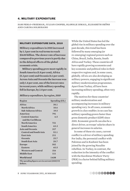#### <span id="page-9-0"></span>4. Military expenditure

sam perlo-freeman, julian cooper, olawale ismail, elisabeth sköns and carina solmirano

#### Military expenditure data, 2010

**Military expenditure in 2010 increased by 1.3 per cent in real terms to reach \$1630 billion. The slower rate of increase compared to previous years is partly due to the delayed effects of the global economic crisis.** 

**Military spending grew most rapidly in South America (5.8 per cent), Africa (5.2 per cent) and Oceania (4.1 per cent). Across Asia and Oceania the increase was only 1.4 per cent, one of the lowest rates in recent years, while military spending fell in Europe, by 2.8 per cent.** 

#### *Military expenditure, by region, 2010*

| Region                                                    | Spending $(\$ b.)$ |
|-----------------------------------------------------------|--------------------|
| Africa                                                    | 30.1               |
| North Africa                                              | 10.6               |
| Sub-Saharan Africa                                        | 19.5               |
| Americas                                                  | 791                |
| Central America                                           | 6.5                |
| and the Caribbean                                         |                    |
| <b>North America</b>                                      | 721                |
| <b>South America</b>                                      | 63.3               |
| Asia and Oceania                                          | 317                |
| <b>Central and South Asia</b>                             | 52.1               |
| East Asia                                                 | 211                |
| Oceania                                                   | 25.7               |
| <b>South East Asia</b>                                    | 28.7               |
| <b>Europe</b>                                             | 382                |
| <b>Eastern</b>                                            | 65.5               |
| <b>Western and Central</b>                                | 316                |
| <b>Middle East</b>                                        | 111                |
| World total                                               | 1630               |
| The spending figures are in current (2010) US<br>dollars. |                    |

While the United States has led the global rise in military spending over the past decade, this trend has been followed by many emerging (or re-emerging) regional powers such as China, Brazil, India, Russia, South Africa and Turkey. These countries all have rapidly growing economies and key economic and political roles in their respective regions and, in some cases, globally. All six are also developing as military powers, engaging in significant military modernization programmes. Apart from Turkey, all have been increasing military spending, often very rapidly.

The motives for these countries' military modernization and accompanying increases in military spending vary. In all cases, economic growth is a key enabler; in no case has military spending grown faster than gross domestic product (GDP) since 2001. Economic growth can also be a direct driver, as troops' salaries share in general increases in salaries.

In some of these six cases, current conflict is a driver of military spending. For India, the perennial conflict with Pakistan and in Kashmir has been joined by the growing Naxalite rebellion. In Turkey, in contrast, the reduction in the intensity of the conflict with the Kurdistan Workers' Party (PKK) is a factor behind falling military spending.

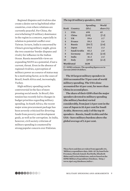Regional disputes and rivalries also create a desire not to lag behind other countries, even where relations are currently peaceful. For China, the overwhelming US military dominance in the region is a concern, especially in relation to potential conflict over Taiwan. In turn, India is concerned by China's growing military might, given the two countries' border disputes and rivalry for influence in the Indian Ocean. Russia meanwhile views an expanding NATO as a potential, if not a current, threat. Even in the absence of regional rivalries, a perception of military power as a source of status may be a motivating factor, as in the cases of Brazil, South Africa and, increasingly, Turkey.

High military spending can be controversial in the face of more pressing social needs. In Brazil, this tension has recently led to changes in budget priorities regarding military spending. In South Africa, the recent major arms procurement package has been severely criticized for diverting funds from poverty and development goals, as well as for corruption. In India, however, civil society criticism of military spending is countered by strong popular concern over Pakistan.

| The top 10 military spenders, 2010 |               |                     |                    |
|------------------------------------|---------------|---------------------|--------------------|
|                                    |               | Spending            | World              |
| Rank                               | Country       | \$b.)               | share (%)          |
| 1                                  | <b>USA</b>    | 698                 | 43                 |
| $\overline{2}$                     | China         | $\lceil 119 \rceil$ | [7.3]              |
| $\overline{\mathbf{3}}$            | <b>UK</b>     | 59.6                | 3.7                |
| $\overline{4}$                     | <b>France</b> | 59.3                | 3.6                |
| 5                                  | Russia        | $\left[58.7\right]$ | $\left[3.6\right]$ |
| 6                                  | Japan         | 54.5                | 3.3                |
| $\overline{7}$                     | Saudi Arabia  | 45.2                | 2.8                |
| 8                                  | Germany       | $[45.2]$            | $\left[2.8\right]$ |
| 9                                  | India         | 41.3                | 2.5                |
| 10                                 | Italy         | $[37.0]$            | $\left[2.3\right]$ |
| <b>World total</b>                 |               | 1630                |                    |
|                                    |               |                     |                    |

**[ ] = SIPRI estimate. The spending figures are in current (2010) US dollars.**

**The 10 largest military spenders in 2010 accounted for 75 per cent of world military spending. The USA alone accounted for 43 per cent, far more than China in second place.** 

**The share of their GDPs that the major spenders devoted to military spending (the military burden) varied considerably, from just 1.0 per cent in the case of Japan to 10.4 per cent for Saudi Arabia. However, only 3 of the top 10 spenders—Russia, Saudi Arabia and the USA—have military burdens above the global average of 2.6 per cent.**

**These facts and data are taken from appendix 4A, 'Military expenditure data, 2001–10', by Sam Perlo-Freeman, Olawale Ismail, Noel Kelly, Elisabeth Sköns and Carina Solmirano, and are based on the SIPRI Military Expenditure Database, <http:// www.sipri.org/databases/milex>.**

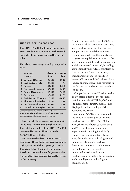#### <span id="page-11-0"></span>5. ARMS PRODUCTION

| SUSAN T. JACKSON |  |
|------------------|--|
|                  |  |

#### The SIPRI Top 100 for 2009

**The SIPRI Top 100 list ranks the largest arms-producing companies in the world (outside China) according to their arms sales.** 

#### *The 10 largest arms-producing companies, 2009*

|                | Company<br>(country)       | <b>Arms sales Profit</b><br>\$m.) | \$m.)   |
|----------------|----------------------------|-----------------------------------|---------|
|                | 1 Lockheed Martin          | 33430                             | 3024    |
| $\overline{2}$ | <b>BAE Systems (UK)</b>    | 33250                             | $-70$   |
| 3              | <b>Boeing</b>              | 32300                             | 1312    |
| $4^{\circ}$    | Northrop Grumman           | 27000                             | 1686    |
|                | 5 General Dynamics         | 25590                             | 2394    |
| 6              | Raytheon                   | 23080                             | 1976    |
| $7^{\circ}$    | <b>EADS</b> (trans-Europe) | 15930                             | $-1060$ |
| 8              | Finmeccanica (Italy)       | 13280                             | 997     |
| 9              | <b>L-3 Communications</b>  | 13010                             | 901     |
| 10             | <b>United Technologies</b> | 11 110                            | 4 1 7 9 |

**Companies are US-based, unless indicated otherwise. The profit figures are from all company activities, including non-military sales.**

**In general, the arms sales of companies in the Top 100 remained high in 2009. The total arms sales of the SIPRI Top 100 increased by \$14.8 billion to reach \$400.7 billion in 2009.** 

**In 2009 for the first time a Kuwaiti company—the military services company Agility—entered the Top 100, at rank 34. The arms sales of some of the largest Russian arms producers fell, even as the Russian Government continued to invest in the industry.**

Despite the financial crisis of 2008 and the ensuing global economic recession, arms producers and military services companies continued their upward trend in arms sales. At the same time, large-scale acquisitions returned to the arms industry in 2010, while acquisition activity in general increased, including acquisitions by non-OECD countries in OECD arms markets. The military spending cuts proposed in 2010 in Western Europe and the USA are likely to have an impact on arms producers in the future, but to what extent remains to be seen.

Companies outside of North America and Western Europe—those regions that dominate the SIPRI Top 100 and the global arms industry overall—also displayed resilience in light of the economic recession.

As smaller OECD countries outside the Euro-Atlantic region with arms producers in the SIPRI Top 100 for 2009, the cases of Israel, South Korea and Turkey illuminate small state experiences in pushing for globally competitive arms industries. In each case, the underlying technological and industrial infrastructures have determined when and to what extent technological developments are integrated into domestic arms production and whether the integration leads to indigenous technological sophistication.

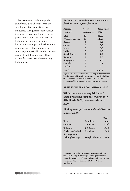Access to arms technology via transfers is also a key factor in the development of domestic arms industries. A requirement for offset investment in return for large arms procurement contracts can lead to technology transfers, although limitations are imposed by the USA on re-exports of US technology. In contrast, domestically funded military research and development allows national control over the resulting technology.

*National or regional shares of arms sales for the SIPRI Top 100 for 2009*

| Region/<br>country    | No. of<br>companies | <b>Arms sales</b><br>\$b.) |
|-----------------------|---------------------|----------------------------|
| <b>USA</b>            | 45                  | 247.2                      |
| <b>Western Europe</b> | 33                  | 120.3                      |
| Russia                | 6                   | 9.2                        |
| Japan                 | $\overline{4}$      | 6.5                        |
| <b>Israel</b>         | 3                   | 6.3                        |
| India                 | 3                   | 4.5                        |
| South Korea           | $\overline{2}$      | 1.9                        |
| Kuwait                | $\mathbf{1}$        | 2.5                        |
| Singapore             | 1                   | 1.5                        |
| Canada                | 1                   | 0.7                        |
| Turkey                | $\mathbf{1}$        | 0.6                        |
| Total                 | 100                 | 400.7                      |

**Figures refer to the arms sales of Top 100 companies headquartered in each country or region, including those of their foreign subsidiaries, not the sales of arms actually produced in that country or region.** 

#### **ARMS INDUSTRY ACQUISITIONS, 2010**

**While there were no acquisitions of arms-producing companies worth over \$1 billion in 2009, there were three in 2010.** 

*The largest acquisitions in the OECD arms industry, 2010*

|                      |                        | Deal  |
|----------------------|------------------------|-------|
| <b>Buver</b>         | Acquired               | value |
| company              | company                | \$m.) |
| <b>Babcock</b>       | <b>VT</b> Group        | 2000  |
| Cerberus Capital     | <b>DynCorp</b>         | 1500  |
| Management           |                        |       |
| <b>Triumph Group</b> | <b>Vought Aircraft</b> | 1440  |

**These facts and data are taken from appendix 5A, 'The SIPRI Top 100 arms-producing companies, 2009', by Susan T. Jackson, and appendix 5B, 'Major arms industry acquisitions, 2010', by Vincent Boulanin.**

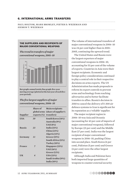#### <span id="page-13-0"></span>**6. INTERNATIONAL ARMS TRANSFERS**

paul holtom, mark bromley, pieter d. wezeman and siemon t. wezeman 

#### THE SUPPLIERS AND RECIPIENTS OF **MAJOR CONVENTIONAL WEAPONS**

*The trend in transfers of major conventional weapons, 2001–10*



**Bar graph: annual totals; line graph: five-year moving average (plotted at the last year of each fiveyear period).** 

*The five largest suppliers of major conventional weapons, 2006–10*

| Supplier   | Share of<br>$exports$ $(\%)$ | <b>Main recipients</b><br>global arms (share of supplier's<br>transfers) |
|------------|------------------------------|--------------------------------------------------------------------------|
| <b>USA</b> | 30                           | South Korea (14%)                                                        |
|            |                              |                                                                          |
|            |                              | Australia (9%)                                                           |
|            |                              | UAE(8%)                                                                  |
| Russia     | 23                           | <b>India</b> (33%)                                                       |
|            |                              | China(23%)                                                               |
|            |                              | Algeria (13%)                                                            |
| Germany    | 11                           | Greece (15%)                                                             |
|            |                              | South Africa (11%)                                                       |
|            |                              | <b>Turkey (10%)</b>                                                      |
| France     | 7                            | Singapore (23%)                                                          |
|            |                              | <b>UAE</b> (16%)                                                         |
|            |                              | Greece $(12%)$                                                           |
| UK         | $\overline{4}$               | USA(23%)                                                                 |
|            |                              | Saudi Arabia (19%)                                                       |
|            |                              | <b>India</b> (10%)                                                       |

The volume of international transfers of major conventional weapons in 2006–10 was 24 per cent higher than in 2001– 2005, continuing the upward trend.

The United States and Russia were the largest exporters of major conventional weapons in 2006–10, accounting for 53 per cent of the volume of exports. Countries in Asia were their largest recipients. Economic and foreign policy considerations continued to play a central role in their respective decisions on arms exports. The US Administration has made proposals to reform its export controls to prevent arms and technology from reaching adversaries and to better facilitate transfers to allies. Russia's decision in 2010 to cancel the delivery of S-300 air defence systems to Iran is significant for its reputation as a 'reliable' supplier.

The major recipient region in 2006–10 was Asia and Oceania (accounting for 43 per cent of imports of major conventional weapons), followed by Europe (21 per cent) and the Middle East (17 per cent). India was the largest recipient of major conventional weapons in 2006–10, pushing China into second place. South Korea (6 per cent), Pakistan (5 per cent) and Greece (4 per cent) were the other largest recipients.

Although India and Pakistan have both imported large quantities of weapons to counter external security

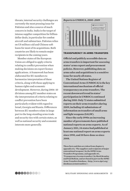threats, internal security challenges are currently the most pressing issue for Pakistan and also a source of much concern in India. India is the target of intense supplier competition for billiondollar deals, in particular for combat aircraft and submarines. Pakistan relies on US military aid and Chinese soft loans for most of its acquisitions. Both countries are likely to remain major recipients in the coming years.

Member states of the European Union are obliged to apply criteria relating to conflict prevention when making decisions on export licence applications. A framework has been elaborated for EU members to harmonize interpretation of these criteria, along with those applying to human rights and economic development. However, during 2006–10 divisions among EU member states on the interpretation of criteria relating to conflict prevention have been particularly evident with regard to Israel, Georgia and Russia. Differences between EU members relate in large part to the long-standing arms trade and security ties with certain states, as well as national security and economic interests more generally.

#### *Reports to UNROCA, 2000–2009*



#### TRANSPARENCY IN ARMS TRANSFERS

**Official and publicly accessible data on arms transfers is important for assessing states' arms export and procurement policies. However, publishing data on arms sales and acquisitions is a sensitive issue for nearly all states.** 

**The United Nations Register of Conventional Arms (UNROCA) is the key international mechanism of official transparency on arms transfers. The recent downward trend in states' participation in UNROCA continued during 2010. Only 72 states submitted reports on their arms transfers during 2009, including 43 submissions of information on transfers of small arms and light weapons (SALW).** 

**Since the early 1990s an increasing number of governments have published national reports on arms exports. As of January 2011, 34 states had published at least one national report on arms exports since 1990, and 30 have done so since 2008.**

**These facts and data are taken from chapter 6, appendix 6A, 'The suppliers and recipients of major conventional weapons', by the SIPRI Arms Transfers Programme, and appendix 6C, 'Transparency in arms transfers', by Mark Bromley and Paul Holtom, and are based in part on the SIPRI Arms Transfers Database, <http://www.sipri.org/ databases/armstransfers/>.**

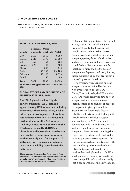#### <span id="page-15-0"></span>**7. WORLD NUCLEAR FORCES**

WORLD NUCLEAR FORCES, 2011

shannon n. kile, vitaly fedchenko, bharath gopalaswamy and hans m. kristensen

| Country       | Deployed<br>warheads | <b>Other</b><br>warheads | Total      |  |
|---------------|----------------------|--------------------------|------------|--|
| <b>USA</b>    | 2150                 | 6350                     | 8500       |  |
| Russia        | 2427                 | 8570                     | 11000      |  |
| UK            | 160                  | 65                       | 225        |  |
| France        | 290                  | 10                       | 300        |  |
| China         | $\ddot{\phantom{0}}$ | 200                      | 240        |  |
| India         | . .                  | $80 - 100$               | $80 - 100$ |  |
| Pakistan      | . .                  | $90 - 110$               | $90 - 110$ |  |
| <b>Israel</b> | $\cdot$              | 80                       | 80         |  |
| Total         | 5027                 | 15500                    | 20530      |  |

**All estimates are approximate and are as of January 2011.**

#### **GLOBAL STOCKS AND PRODUCTION OF FISSILE MATERIALS, 2010**

**As of 2010, global stocks of highly enriched uranium (HEU) totalled approximately 1270 tonnes (not including 208 tonnes to be blended down). Global military stocks of separated plutonium totalled approximately 237 tonnes and civilian stocks totalled 248 tonnes.**

**China, France, Russia, the UK and the USA have produced both HEU and plutonium. India, Israel and North Korea have produced mainly plutonium, and Pakistan mainly HEU for weapons. All states with a civilian nuclear industry have some capability to produce fissile materials.**

**These facts and data are taken from chapter 7 and appendix 7A, 'Global stocks and production of fissile materials, 2010', by Alexander Glaser and Zia Mian, International Panel on Fissile Materials.**

In January 2011 eight states—the United States, Russia, the United Kingdom, France, China, India, Pakistan and Israel—possessed more than 20 500 nuclear weapons, including operational weapons, spares, those in both active and inactive storage and intact weapons scheduled for dismantlement. Of this total figure, more than 5000 nuclear weapons are deployed and ready for use, including nearly 2000 that are kept in a state of high operational alert.

The five legally recognized nuclear weapon states, as defined by the 1968 Non-Proliferation Treaty (NPT)— China, France, Russia, the UK and the USA—are either deploying new nuclear weapon systems or have announced their intention to do so; none appears to be prepared to give up its nuclear arsenals in the foreseeable future.

India and Pakistan, which along with Israel are de facto nuclear weapon states outside the NPT, continue to develop new ballistic and cruise missile systems capable of delivering nuclear weapons. They are also expanding their capacities to produce fissile material for military purposes. Israel appears to be waiting to assess how the situation with Iran's nuclear programme develops.

North Korea is believed to have produced enough plutonium to build a small number of nuclear warheads, but there is no public information to verify that it has operational nuclear weapons.

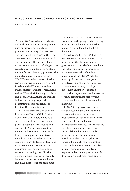#### <span id="page-16-0"></span>8. Nuclear arms control and non-proliferation

| SHANNON N. KILE |  |
|-----------------|--|
|-----------------|--|

The year 2010 saw advances in bilateral and multilateral initiatives to promote nuclear disarmament and nonproliferation. On 8 April 2010 Russia and the United States signed the Treaty on Measures for the Further Reduction and Limitation of Strategic Offensive Arms (New START), mandating further reductions in their deployed strategic nuclear forces. The treaty preserves the main elements of the expired 1991 START's comprehensive verification regime, the principal means by which Russia and the USA monitored each other's strategic nuclear forces. In the wake of New START's entry into force on 5 February 2011, there appeared to be few near-term prospects for negotiating deeper reductions of Russian–US nuclear forces.

In May the eighth five-yearly Non-Proliferation Treaty (NPT) Review Conference was widely hailed as a success when the participating states parties adopted by consensus a final document. The document contained recommendations for advancing the treaty's principles and objectives, including steps towards establishing a weapon of mass destruction-free zone in the Middle East. However, the discussions during the conference revealed continuing deep divisions among the states parties—especially between the nuclear weapon 'haves' and 'have-nots'—over the basic aims

and goals of the NPT. These divisions cast doubt on the prospects for making progress in implementing even the modest steps endorsed in the final document.

Also during 2010 the USA hosted a Nuclear Security Summit meeting that brought together heads of state and government to consider how to reduce the risk of nuclear terrorism and to increase the security of nuclear materials and facilities. While the meeting did not lead to new joint initiatives, a number of participating states announced steps to adopt or implement a number of existing conventions, agreements and measures for enhancing nuclear security and combating illicit trafficking in nuclear materials.

In 2010 little progress was made towards resolving the long-running controversies over the nuclear programmes of Iran and North Korea, which have been the focus of international concerns. These concerns were heightened when North Korea revealed that it had constructed a previously undeclared uranium enrichment plant. In Iran, the IAEA remained unable to resolve questions about nuclear activities with possible military dimensions, while Iran experienced technical problems with its uranium enrichment programme.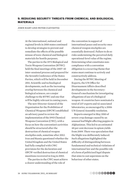#### <span id="page-17-0"></span>9. REDUCING SECURITY THREATS FROM CHEMICAL AND BIOLOGICAL **MATERIALS**

## john hart and peter clevestig

At the international, national and regional levels in 2010 states continued to develop strategies to prevent and remediate the effects of the possible misuse of toxic chemical and biological materials for hostile purposes.

The parties to the 1972 Biological and Toxin Weapons Convention (BTWC) held the final meetings of the 2007–10 inter-sessional process and prepared for the Seventh Conference of the States Parties, which will be held in December 2011. Scientific and technological developments, such as the increasing overlap between the chemical and biological sciences, are a major challenge to the BTWC and one that will be highly relevant in coming years.

The new Director-General of the Organisation for the Prohibition of Chemical Weapons (OPCW) established an advisory panel to review the implementation of the 1993 Chemical Weapons Convention (CWC), with a focus on how the convention's activities should be structured after the destruction of chemical weapon stockpiles ends, sometime after 2012. Iran and Russia questioned whether the United Kingdom and the United States had fully complied with CWC provisions for the declaration and OPCW-verified destruction of chemical munitions recovered in Iraq in 2003.

The parties to the CWC must achieve a clearer understanding of the role of

the convention in support of international peace and security once chemical weapon stockpiles are essentially destroyed. Failure to do so risks undermining the perceived daily operational-level value of the regime. Determining what constitutes noncompliance with a convention obligation is a recurring theme that states must continue to actively and constructively address.

During the BTWC Meeting of Experts, the UN Office for Disarmament Affairs described developments in the Secretary-General's mechanism for investigating allegations of use of a biological weapon: 41 countries have nominated a total of 237 experts and 42 associated laboratories, as encouraged by a 2006 UN General Assembly resolution.

Reports emerged in May 2010 of severe crop damage caused by an unusual leaf blight affecting poppies in Afghanistan. This led to an estimated 48 per cent decrease in opium yields from 2009. There was speculation that the blight was deliberately induced. Such allegations highlighted the difficulty of distinguishing between fundamental and technical violations of international law and the possible role of a form of politicized legal dispute that aims to cast aspersions on the behaviour of other states.

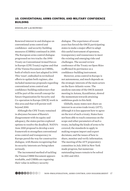#### <span id="page-18-0"></span>10. CONVENTIONAL ARMS CONTROL AND MILITARY CONFIDENCE **BUILDING**

## zdzislaw lachowski

Renewed interest in and dialogue on conventional arms control and confidence- and security-building measures (CSBMs) continued in 2010. The European arms control dialogue progressed on two tracks: the 1990 Treaty on Conventional Armed Forces in Europe (CFE Treaty) regime and that of the Vienna Document on CSBMs, both of which were last adapted in 1999. This 'reset', embodied in revitalized efforts to update both regimes, also included numerous proposals regarding conventional arms control and confidence-building endeavours that will be part of the overall concept for future Organization for Security and Co-operation in Europe (OSCE) work in this area and that will persist well beyond 2010.

Although the CFE Treaty remained in abeyance because of Russia's disagreement with its equity and adequacy, the states parties explored options to resolve the deadlock. NATO's June 2010 proposal to develop a new framework to strengthen conventional arms control and transparency in Europe paved the way for constructive dialogue, with Russia recognizing that its security interests are being taken seriously.

The incremental method of tackling the Vienna CSBM Document appears workable, and CSBMs are regaining their value in military-security

dialogue. The experience of recent years has forced the OSCE participating states to make a major effort to adapt this useful instrument of openness, transparency and reassurance to meet the existing and emerging risks and challenges. The second review conference of the Treaty on Open Skies reaffirmed its pertinence as a confidence-building instrument.

However, arms control in Europe is not autonomous, and much depends on the strategic interests of the main actors on the Euro-Atlantic scene. The anodyne outcome of the OSCE summit meeting in Astana, Kazakhstan, slowed the momentum towards attaining ambitious goals in this field.

Globally, many states now share an interest in an arms trade treaty (ATT), although it is less apparent how to agree on the text of such a treaty. States have not been able to reach consensus on the scope and other parameters of such a treaty, including the kinds of arms to be covered; the standards to apply in making weapon import and export decisions; and the issues of how to share, monitor and verify information. The meeting of the ATT preparatory committee in July 2010 in New York made progress, but numerous outstanding issues remain to be solved in 2011 and 2012.

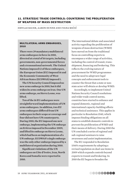#### <span id="page-19-0"></span>11. STRATEGIC TRADE CONTROLS: COUNTERING THE PROLIFERATION OF WEAPONS OF MASS DESTRUCTION

## sibylle bauer, aaron dunne and ivana mićić

#### MULTILATERAL ARMS EMBARGOES, 2010

**There were 29 mandatory multilateral arms embargoes in force in 2010, directed at a total of 16 targets, including governments, non-governmental forces and a transnational network. The United Nations imposed 12 of these embargoes, the European Union (EU) imposed 16 and the Economic Community of West African States (ECOWAS) imposed 1.**

**The UN Security Council imposed no new arms embargo in 2010, but it did widen its arms embargo on Iran. One UN arms embargo, on Sierra Leone, was lifted.**

**Ten of the 16 EU embargoes were straightforward implementations of UN arms embargoes. In addition, two EU arms embargoes differed from UN embargoes in their scope or coverage and four did not have UN counterparts. During 2010, the EU imposed one new embargo, implementing the UN embargo on Eritrea imposed in December 2009, and lifted its embargo on Sierra Leone, which had been an implementation of a UN embargo. ECOWAS's single embargo was the only other embargo imposed by a multilateral organization during 2010.**

**Significant violations of the UN embargoes on Côte d'Ivoire, Iran, North Korea and Somalia were reported in 2010.** 

The international debate and associated activity regarding the proliferation of weapons of mass destruction (WMD) have moved on from the traditional focus on controlling exports to encompass a wider range of activities, including the control of transit, transshipment, financing and brokering. This reflects the evolving nature of procurement for WMD programmes and the need to adopt new legal concepts and enforcement tools to counter the threat that a state or nonstate actor will obtain or develop WMD.

Accordingly, to implement United Nations Security Council resolutions and wider trade control norms, countries have started to enhance and expand domestic, regional and international capacity-building efforts and technical assistance. This applies in particular to Resolution 1540, which imposes binding obligations on all states to establish domestic controls to prevent the proliferation of WMD and their means of delivery. During 2010 the UN concluded a series of regional and sub-regional seminars to raise awareness and assist implementation.

The EU responded to Resolution 1540's requirements by adopting a revised regulation on dual-use items in 2009 which expands controls beyond exports to transit and brokering. In 2010 the EU began to broaden the

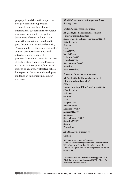geographic and thematic scope of its non-proliferation cooperation.

Complementing the enhanced international cooperation are coercive measures designed to change the behaviours of states and non-state actors that are widely considered to pose threats to international security. These include UN sanctions that seek to counter proliferation finance and interdict the movements of proliferation-related items. In the case of proliferation finance, the Financial Action Task Force (FATF) has proved itself to be a relatively effective vehicle for exploring the issue and developing guidance on implementing countermeasures.

#### *Multilateral arms embargoes in force during 2010*

*United Nations arms embargoes*

**Al-Qaeda, the Taliban and associated individuals and entities Democratic Republic of the Congo (NGF) Côte d'Ivoire Eritrea Iran Iraq (NGF) North Korea Lebanon (NGF) Liberia (NGF) Sierra Leone (NGF) Somalia Sudan (Darfur)**

*European Union arms embargoes*

**Al-Qaeda, the Taliban and associated individuals and entities\* China Democratic Republic of the Congo (NGF)\* Côte d'Ivoire\* Eritrea\* Guinea Iran Iraq (NGF)\* North Korea\* Lebanon (NGF)\* Liberia (NGF)\* Myanmar Sierra Leone (NGF)\* Somalia (NGF)\* Sudan Zimbabwe**

*ECOWAS arms embargoes*

#### **Guinea**

**NGF = non-governmental forces.**

**\* = These 10 EU embargoes are implementations of UN embargoes. The other EU embargoes either differ from equivalent UN embargoes or have no UN counterpart.**

**These facts and data are taken from appendix 11A, 'Multilateral arms embargoes, 2010', by Pieter D. Wezeman and Noel Kelly.**

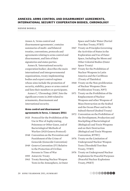#### <span id="page-21-0"></span>ANNEXES: ARMS CONTROL AND DISARMAMENT AGREEMENTS, INTERNATIONAL SECURITY COOPERATION BODIES, CHRONOLOGY

## nenne bodell

Annex A, 'Arms control and disarmament agreements', contains summaries of multi- and bilateral treaties, conventions, protocols and agreements relating to arms control and disarmament, and lists of their signatories and states parties.

Annex B, 'International security cooperation bodies', describes the main international and intergovernmental organizations, treaty-implementing bodies and export control regimes whose aims include the promotion of security, stability, peace or arms control and lists their members or participants.

Annex C, 'Chronology 2010', lists the significant events in 2010 related to armaments, disarmament and international security.

#### Arms control and disarmament agreements in force, 1 January 2011

- 1925 Protocol for the Prohibition of the Use in War of Asphyxiating, Poisonous or Other Gases, and of Bacteriological Methods of Warfare (1925 Geneva Protocol)
- 1948 Convention on the Prevention and Punishment of the Crime of Genocide (Genocide Convention)
- 1949 Geneva Convention (IV) Relative to the Protection of Civilian Persons in Time of War
- 1959 Antarctic Treaty
- 1963 Treaty Banning Nuclear Weapon Tests in the Atmosphere, in Outer

Space and Under Water (Partial Test-Ban Treaty, PTBT)

- 1967 Treaty on Principles Governing the Activities of States in the Exploration and Use of Outer Space, Including the Moon and Other Celestial Bodies (Outer Space Treaty)
- 1967 Treaty for the Prohibition of Nuclear Weapons in Latin America and the Caribbean (Treaty of Tlatelolco)
- 1968 Treaty on the Non-proliferation of Nuclear Weapons (Non-Proliferation Treaty, NPT)
- 1971 Treaty on the Prohibition of the Emplacement of Nuclear Weapons and other Weapons of Mass Destruction on the Seabed and the Ocean Floor and in the Subsoil thereof (Seabed Treaty)
- 1972 Convention on the Prohibition of the Development, Production and Stockpiling of Bacteriological (Biological) and Toxin Weapons and on their Destruction (Biological and Toxin Weapons Convention, BTWC)
- 1974 Treaty on the Limitation of Underground Nuclear Weapon Tests (Threshold Test-Ban Treaty, TTBT)
- 1976 Treaty on Underground Nuclear Explosions for Peaceful Purposes (Peaceful Nuclear Explosions Treaty, PNET)

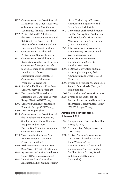- 1977 Convention on the Prohibition of Military or Any Other Hostile Use of Environmental Modification Techniques (Enmod Convention)
- 1977 Protocols I and II Additional to the 1949 Geneva Conventions and Relating to the Protection of Victims of International and Non-International Armed Conflicts
- 1980 Convention on the Physical Protection of Nuclear Material
- 1981 Convention on Prohibitions or Restrictions on the Use of Certain Conventional Weapons which may be Deemed to be Excessively Injurious or to have Indiscriminate Effects (CCW Convention, or 'Inhumane Weapons' Convention)
- 1985 South Pacific Nuclear Free Zone Treaty (Treaty of Rarotonga)
- 1987 Treaty on the Elimination of Intermediate-Range and Shorter-Range Missiles (INF Treaty)
- 1990 Treaty on Conventional Armed Forces in Europe (CFE Treaty)
- 1992 Treaty on Open Skies
- 1993 Convention on the Prohibition of the Development, Production, Stockpiling and Use of Chemical Weapons and on their Destruction (Chemical Weapons Convention, CWC)
- 1995 Treaty on the Southeast Asia Nuclear Weapon-Free Zone (Treaty of Bangkok)
- 1996 African Nuclear-Weapon-Free Zone Treaty (Treaty of Pelindaba)
- 1996 Agreement on Sub-Regional Arms Control (Florence Agreement)
- 1997 Inter-American Convention Against the Illicit Manufacturing

of and Trafficking in Firearms, Ammunition, Explosives, and Other Related Materials

- 1997 Convention on the Prohibition of the Use, Stockpiling, Production and Transfer of Anti-Personnel Mines and on their Destruction (APM Convention)
- 1999 Inter-American Convention on Transparency in Conventional Weapons Acquisitions

1999 Vienna Document 1999 on Confidence- and Security-Building Measures

2006 ECOWAS Convention on Small Arms, Light Weapons, their Ammunition and Other Related **Materials** 

2006 Treaty on a Nuclear-Weapon-Free Zone in Central Asia (Treaty of Semipalatinsk)

2008 Convention on Cluster Munitions

2010 Treaty on Measures for the Further Reduction and Limitation of Strategic Offensive Arms (New START, Prague Treaty)

#### Agreements not yet in force, 1 January 2011

- 1996 Comprehensive Nuclear-Test-Ban Treaty (CTBT)
- 1999 Agreement on Adaptation of the CFE Treaty
- 2010 Central African Convention for the Control of Small Arms and Light Weapons, Their Ammunition and All Parts and Components That Can Be Used for Their Manufacture, Repair and Assembly (Kinshasa Convention)

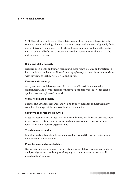#### SIPRI'S RESEARCH

SIPRI has a broad and constantly evolving research agenda, which consistently remains timely and in high demand. SIPRI is recognized and trusted globally for its authoritativeness and objectivity by the policy community, academia, the media and the public. All of SIPRI's research is based on open sources, allowing it to be independently verified.

#### China and global security

Delivers an in-depth and timely focus on Chinese views, policies and practices in both traditional and non-traditional security spheres, and on China's relationships with key regions such as Africa, Asia and Europe.

#### Euro-Atlantic security

Analyses trends and developments in the current Euro-Atlantic security environment, and how the lessons of Europe's post-cold war experience can be applied to other regions of the world.

#### Global health and security

Defines and advances research, analysis and policy guidance to meet the many complex challenges at the nexus of health and security.

#### Security and governance in Africa

Maps the security-related activities of external actors in Africa and assesses their impacts on security, democratization and good governance, cooperating closely with African civil society organizations.

#### Trends in armed conflict

Monitors and analyses trends in violent conflict around the world, their causes, dynamics and consequences.

#### Peacekeeping and peacebuilding

Draws together comprehensive information on multilateral peace operations and analyses significant trends in peacekeeping and their impacts on post-conflict peacebuilding policies.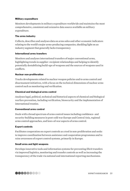#### Military expenditure

Monitors developments in military expenditure worldwide and maintains the most comprehensive, consistent and extensive data source available on military expenditure.

#### The arms industry

Collects, describes and analyses data on arms sales and other economic indicators relating to the world's major arms-producing companies, shedding light on an industry segment that generally lacks transparency.

#### International arms transfers

Monitors and analyses international transfers of major conventional arms, highlighting trends in supplier–recipient relationships and helping to identify potentially destabilizing build-ups of weapons and the sources of weapons used in conflicts.

#### Nuclear non-proliferation

Tracks developments related to nuclear weapon policies and to arms control and disarmament initiatives, with a focus on the technical dimensions of nuclear arms control such as monitoring and verification.

#### Chemical and biological arms control

Analyses legal, political, technical and historical aspects of chemical and biological warfare prevention, including verification, biosecurity and the implementation of international treaties.

#### Conventional arms control

Deals with a broad spectrum of arms control issues including confidence- and security-building measures in post-cold war Europe and Central Asia, regional arms control approaches, and laws-of-war aspects of arms control.

#### Export controls

Facilitates cooperation on export controls as a tool in non-proliferation and seeks to improve coordination between assistance and cooperation programmes and to raise awareness of export control systems, primarily in Europe.

#### Small arms and light weapons

Develops innovative tools and information systems for preventing illicit transfers via improved logistics, monitoring and transfer controls as well as increasing the transparency of the trade via national and international reporting mechanisms.

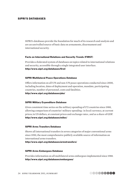#### SIPRI'S DATABASES

SIPRI's databases provide the foundation for much of its research and analysis and are an unrivalled source of basic data on armaments, disarmament and international security.

#### Facts on International Relations and Security Trends (FIRST)

Provides a federated system of databases on topics related to international relations and security, accessible through a single integrated user interface. http://www.sipri.org/databases/first/

#### SIPRI Multilateral Peace Operations Database

Offers information on all UN and non-UN peace operations conducted since 2000, including location, dates of deployment and operation, mandate, participating countries, number of personnel, costs and fatalities. http://www.sipri.org/databases/pko/

#### SIPRI Military Expenditure Database

Gives consistent time series on the military spending of 172 countries since 1988, allowing comparison of countries' military spending : in local currency, at current prices; in US dollars, at constant prices and exchange rates ; and as a share of GDP. http://www.sipri.org/databases/milex/

#### SIPRI Arms Transfers Database

Shows all international transfers in seven categories of major conventional arms since 1950, the most comprehensive publicly available source of information on international arms transfers.

http://www.sipri.org/databases/armstransfers/

#### SIPRI Arms Embargoes Database

Provides information on all multilateral arms embargoes implemented since 1988. http://www.sipri.org/databases/embargoes/

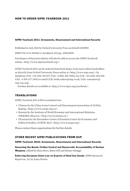#### How to order sipri yearbook 2011

#### SIPRI Yearbook 2011: Armaments, Disarmament and International Security

Published in July 2011 by Oxford University Press on behalf of SIPRI

ISBN 978-0-19-969552-2, hardback, 562 pp., £100/\$185

Purchasers of the print edition will also be able to access the SIPRI Yearbook online, <http://www.sipriyearbook.org/>.

*SIPRI Yearbook 2011* can be ordered from book shops, from most online booksellers or directly from Oxford University Press online at <http://www.oup.com/>, by telephone (UK: +44 1536-741 017; USA: +1 800-451 7556), fax (UK: +44 1536-454 518; USA: +1 919-677 1303) or email (UK: book.orders@oup.co.uk; USA: customers@ oup-usa.org).

Further details are available at <http://www.sipri.org/yearbook/>

#### **TRANSLATIONS**

*SIPRI Yearbook 2011* will be translated into

- Chinese by the China Arms Control and Disarmament Association (CACDA), Beijing, <http://www.cacda.org.cn/>
- Russian by the Institute of World Economy and International Relations (IMEMO), Moscow, <http://www.imemo.ru/>
- Ukrainian by the Razumkov Centre (Ukrainian Centre for Economic and Political Studies, UCEPS), Kyiv, <http://www.uceps.org/>

Please contact these organizations for further details.

#### OTHER RECENT SIPRI PUBLICATIONS FROM OUP

#### SIPRI Yearbook 2010: Armaments, Disarmament and International Security

Governing the Bomb: Civilian Control and Democratic Accountability of Nuclear Weapons, edited by Hans Born, Bates Gill and Heiner Hänggi

Enforcing European Union Law on Exports of Dual-Use Goods, SIPRI Research Report no. 24, by Anna Wetter